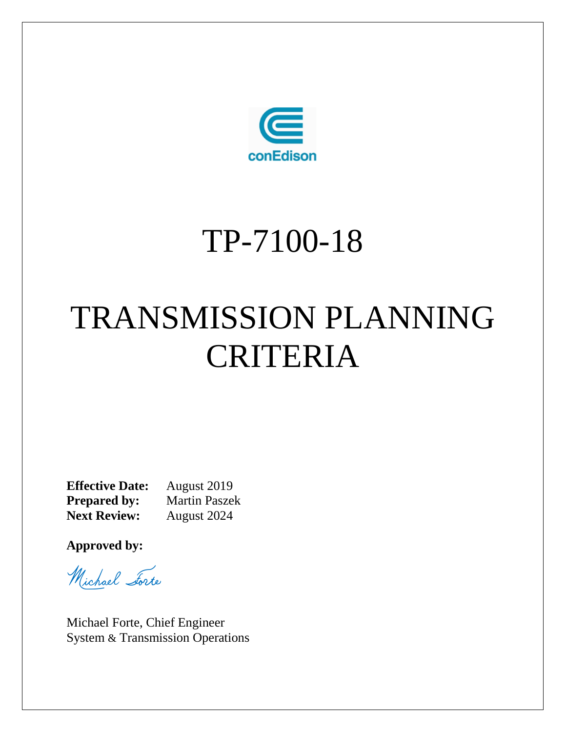

# TP-7100-18

# TRANSMISSION PLANNING CRITERIA

**Effective Date:** August 2019<br>**Prepared by:** Martin Paszek **Prepared by:**<br>Next Review: **Next Review:** August 2024

**Approved by:**

Michael Forte

Michael Forte, Chief Engineer System & Transmission Operations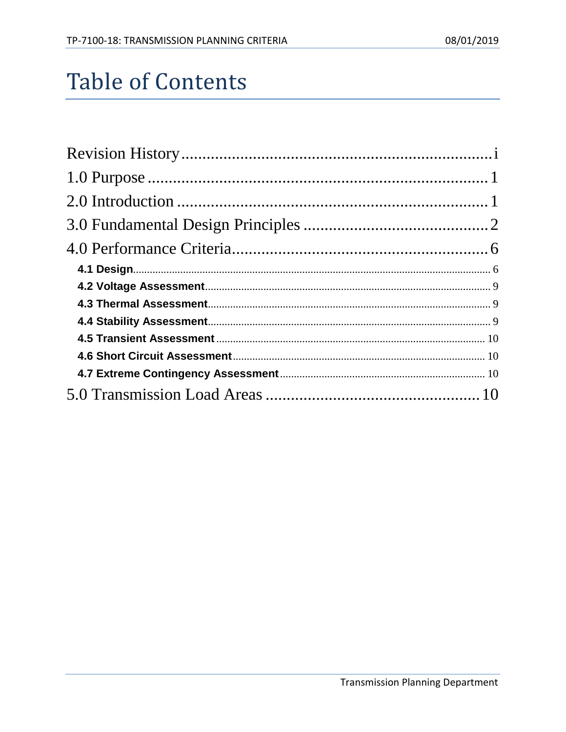## **Table of Contents**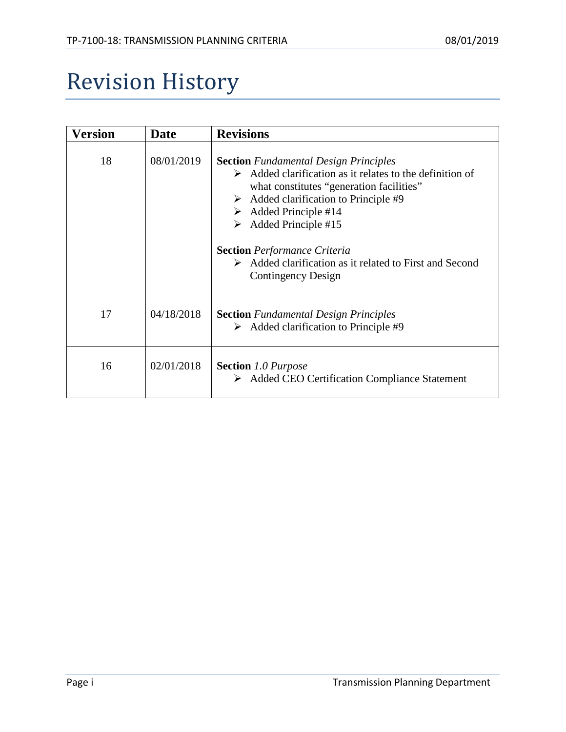## <span id="page-2-0"></span>Revision History

| Version | <b>Date</b> | <b>Revisions</b>                                                                                                                                                                                                                                                                                                                                                                                                      |  |
|---------|-------------|-----------------------------------------------------------------------------------------------------------------------------------------------------------------------------------------------------------------------------------------------------------------------------------------------------------------------------------------------------------------------------------------------------------------------|--|
| 18      | 08/01/2019  | <b>Section</b> Fundamental Design Principles<br>$\triangleright$ Added clarification as it relates to the definition of<br>what constitutes "generation facilities"<br>Added clarification to Principle #9<br>➤<br>Added Principle #14<br>➤<br>Added Principle #15<br>➤<br><b>Section</b> Performance Criteria<br>$\triangleright$ Added clarification as it related to First and Second<br><b>Contingency Design</b> |  |
| 17      | 04/18/2018  | <b>Section</b> Fundamental Design Principles<br>$\triangleright$ Added clarification to Principle #9                                                                                                                                                                                                                                                                                                                  |  |
| 16      | 02/01/2018  | <b>Section</b> 1.0 Purpose<br>$\triangleright$ Added CEO Certification Compliance Statement                                                                                                                                                                                                                                                                                                                           |  |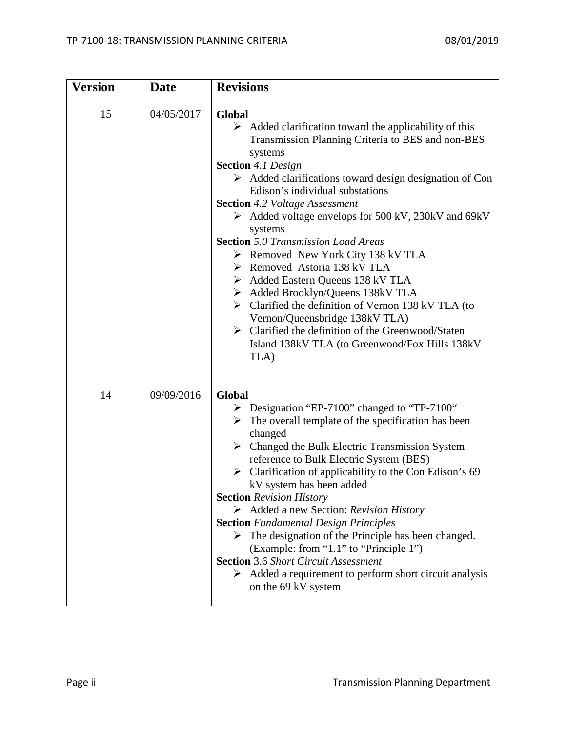| <b>Version</b> | <b>Date</b> | <b>Revisions</b>                                                                                                                                                                                                                                                                                                                                                                                                                                                                                                                                                                                                                                                                                                                                                                                                                                                         |
|----------------|-------------|--------------------------------------------------------------------------------------------------------------------------------------------------------------------------------------------------------------------------------------------------------------------------------------------------------------------------------------------------------------------------------------------------------------------------------------------------------------------------------------------------------------------------------------------------------------------------------------------------------------------------------------------------------------------------------------------------------------------------------------------------------------------------------------------------------------------------------------------------------------------------|
| 15             | 04/05/2017  | Global<br>$\triangleright$ Added clarification toward the applicability of this<br>Transmission Planning Criteria to BES and non-BES<br>systems<br><b>Section</b> 4.1 Design<br>$\triangleright$ Added clarifications toward design designation of Con<br>Edison's individual substations<br><b>Section</b> 4.2 Voltage Assessment<br>$\triangleright$ Added voltage envelops for 500 kV, 230 kV and 69 kV<br>systems<br><b>Section</b> 5.0 Transmission Load Areas<br>▶ Removed New York City 138 kV TLA<br>$\triangleright$ Removed Astoria 138 kV TLA<br>Added Eastern Queens 138 kV TLA<br>$\triangleright$ Added Brooklyn/Queens 138kV TLA<br>$\triangleright$ Clarified the definition of Vernon 138 kV TLA (to<br>Vernon/Queensbridge 138kV TLA)<br>> Clarified the definition of the Greenwood/Staten<br>Island 138kV TLA (to Greenwood/Fox Hills 138kV)<br>TLA) |
| 14             | 09/09/2016  | Global<br>> Designation "EP-7100" changed to "TP-7100"<br>$\triangleright$ The overall template of the specification has been<br>changed<br>$\triangleright$ Changed the Bulk Electric Transmission System<br>reference to Bulk Electric System (BES)<br>$\triangleright$ Clarification of applicability to the Con Edison's 69<br>kV system has been added<br><b>Section Revision History</b><br>$\triangleright$ Added a new Section: Revision History<br><b>Section</b> Fundamental Design Principles<br>$\triangleright$ The designation of the Principle has been changed.<br>(Example: from "1.1" to "Principle 1")<br><b>Section</b> 3.6 Short Circuit Assessment<br>$\triangleright$ Added a requirement to perform short circuit analysis<br>on the 69 kV system                                                                                                |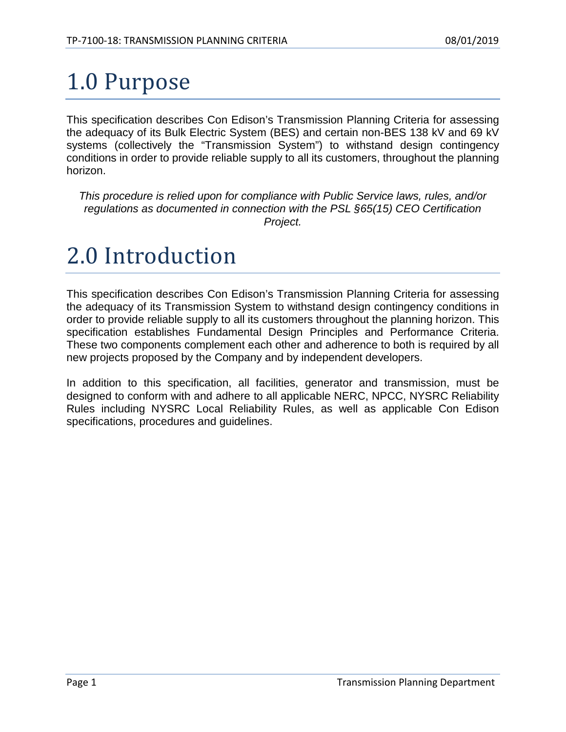## <span id="page-4-0"></span>1.0 Purpose

This specification describes Con Edison's Transmission Planning Criteria for assessing the adequacy of its Bulk Electric System (BES) and certain non-BES 138 kV and 69 kV systems (collectively the "Transmission System") to withstand design contingency conditions in order to provide reliable supply to all its customers, throughout the planning horizon.

*This procedure is relied upon for compliance with Public Service laws, rules, and/or regulations as documented in connection with the PSL §65(15) CEO Certification Project.*

### <span id="page-4-1"></span>2.0 Introduction

This specification describes Con Edison's Transmission Planning Criteria for assessing the adequacy of its Transmission System to withstand design contingency conditions in order to provide reliable supply to all its customers throughout the planning horizon. This specification establishes Fundamental Design Principles and Performance Criteria. These two components complement each other and adherence to both is required by all new projects proposed by the Company and by independent developers.

In addition to this specification, all facilities, generator and transmission, must be designed to conform with and adhere to all applicable NERC, NPCC, NYSRC Reliability Rules including NYSRC Local Reliability Rules, as well as applicable Con Edison specifications, procedures and guidelines.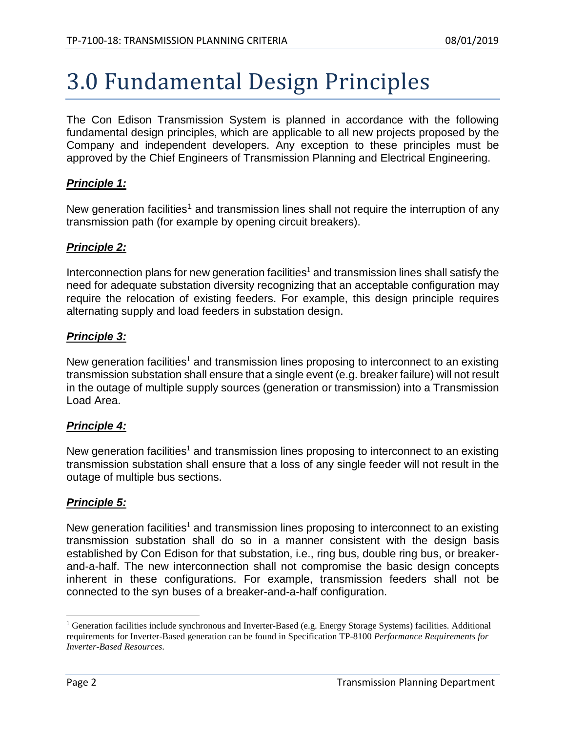## <span id="page-5-0"></span>3.0 Fundamental Design Principles

The Con Edison Transmission System is planned in accordance with the following fundamental design principles, which are applicable to all new projects proposed by the Company and independent developers. Any exception to these principles must be approved by the Chief Engineers of Transmission Planning and Electrical Engineering.

#### *Principle 1:*

<span id="page-5-1"></span>New generation facilities<sup>[1](#page-5-2)</sup> and transmission lines shall not require the interruption of any transmission path (for example by opening circuit breakers).

#### *Principle 2:*

Interconnection plans for new generation facilities<sup>[1](#page-5-1)</sup> and transmission lines shall satisfy the need for adequate substation diversity recognizing that an acceptable configuration may require the relocation of existing feeders. For example, this design principle requires alternating supply and load feeders in substation design.

#### *Principle 3:*

New generation facilities<sup>[1](#page-5-1)</sup> and transmission lines proposing to interconnect to an existing transmission substation shall ensure that a single event (e.g. breaker failure) will not result in the outage of multiple supply sources (generation or transmission) into a Transmission Load Area.

#### *Principle 4:*

New generation facilities<sup>[1](#page-5-1)</sup> and transmission lines proposing to interconnect to an existing transmission substation shall ensure that a loss of any single feeder will not result in the outage of multiple bus sections.

#### *Principle 5:*

New generation facilities<sup>[1](#page-5-1)</sup> and transmission lines proposing to interconnect to an existing transmission substation shall do so in a manner consistent with the design basis established by Con Edison for that substation, i.e., ring bus, double ring bus, or breakerand-a-half. The new interconnection shall not compromise the basic design concepts inherent in these configurations. For example, transmission feeders shall not be connected to the syn buses of a breaker-and-a-half configuration.

<span id="page-5-2"></span><sup>&</sup>lt;sup>1</sup> Generation facilities include synchronous and Inverter-Based (e.g. Energy Storage Systems) facilities. Additional requirements for Inverter-Based generation can be found in Specification TP-8100 *Performance Requirements for Inverter-Based Resources*.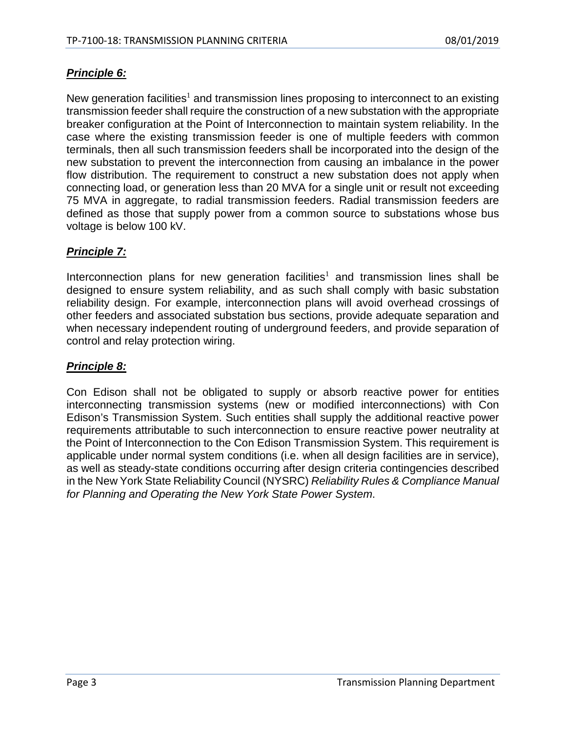#### *Principle 6:*

New generation facilities<sup>[1](#page-5-1)</sup> and transmission lines proposing to interconnect to an existing transmission feeder shall require the construction of a new substation with the appropriate breaker configuration at the Point of Interconnection to maintain system reliability. In the case where the existing transmission feeder is one of multiple feeders with common terminals, then all such transmission feeders shall be incorporated into the design of the new substation to prevent the interconnection from causing an imbalance in the power flow distribution. The requirement to construct a new substation does not apply when connecting load, or generation less than 20 MVA for a single unit or result not exceeding 75 MVA in aggregate, to radial transmission feeders. Radial transmission feeders are defined as those that supply power from a common source to substations whose bus voltage is below 100 kV.

#### *Principle 7:*

Interconnection plans for new generation facilities<sup>[1](#page-5-1)</sup> and transmission lines shall be designed to ensure system reliability, and as such shall comply with basic substation reliability design. For example, interconnection plans will avoid overhead crossings of other feeders and associated substation bus sections, provide adequate separation and when necessary independent routing of underground feeders, and provide separation of control and relay protection wiring.

#### *Principle 8:*

Con Edison shall not be obligated to supply or absorb reactive power for entities interconnecting transmission systems (new or modified interconnections) with Con Edison's Transmission System. Such entities shall supply the additional reactive power requirements attributable to such interconnection to ensure reactive power neutrality at the Point of Interconnection to the Con Edison Transmission System. This requirement is applicable under normal system conditions (i.e. when all design facilities are in service), as well as steady-state conditions occurring after design criteria contingencies described in the New York State Reliability Council (NYSRC) *Reliability Rules & Compliance Manual for Planning and Operating the New York State Power System*.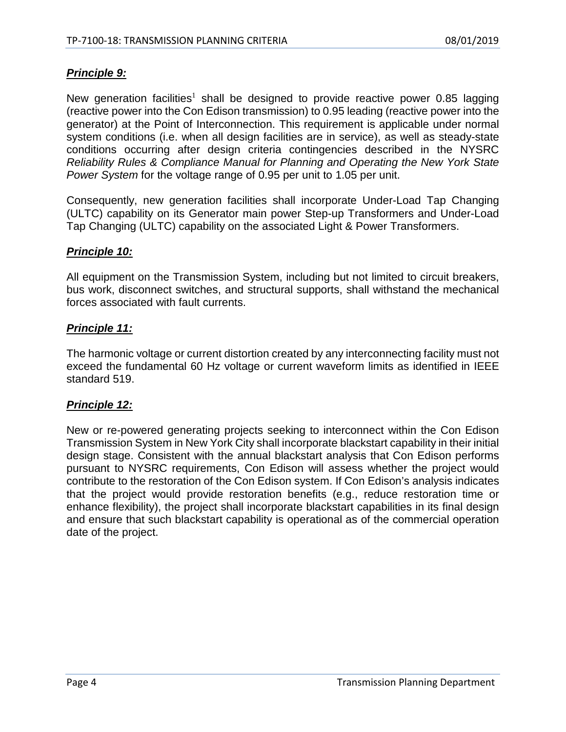#### *Principle 9:*

New generation facilitie[s](#page-5-1)<sup>1</sup> shall be designed to provide reactive power 0.85 lagging (reactive power into the Con Edison transmission) to 0.95 leading (reactive power into the generator) at the Point of Interconnection. This requirement is applicable under normal system conditions (i.e. when all design facilities are in service), as well as steady-state conditions occurring after design criteria contingencies described in the NYSRC *Reliability Rules & Compliance Manual for Planning and Operating the New York State Power System* for the voltage range of 0.95 per unit to 1.05 per unit.

Consequently, new generation facilities shall incorporate Under-Load Tap Changing (ULTC) capability on its Generator main power Step-up Transformers and Under-Load Tap Changing (ULTC) capability on the associated Light & Power Transformers.

#### *Principle 10:*

All equipment on the Transmission System, including but not limited to circuit breakers, bus work, disconnect switches, and structural supports, shall withstand the mechanical forces associated with fault currents.

#### *Principle 11:*

The harmonic voltage or current distortion created by any interconnecting facility must not exceed the fundamental 60 Hz voltage or current waveform limits as identified in IEEE standard 519.

#### *Principle 12:*

New or re-powered generating projects seeking to interconnect within the Con Edison Transmission System in New York City shall incorporate blackstart capability in their initial design stage. Consistent with the annual blackstart analysis that Con Edison performs pursuant to NYSRC requirements, Con Edison will assess whether the project would contribute to the restoration of the Con Edison system. If Con Edison's analysis indicates that the project would provide restoration benefits (e.g., reduce restoration time or enhance flexibility), the project shall incorporate blackstart capabilities in its final design and ensure that such blackstart capability is operational as of the commercial operation date of the project.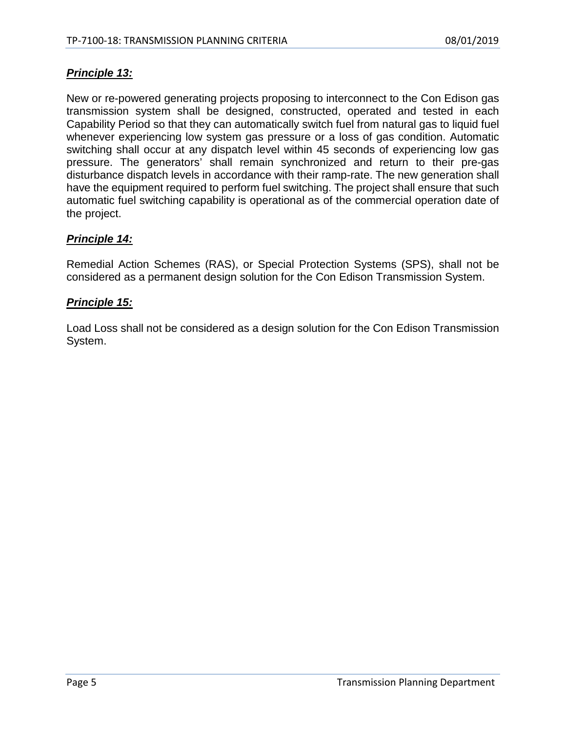#### *Principle 13:*

New or re-powered generating projects proposing to interconnect to the Con Edison gas transmission system shall be designed, constructed, operated and tested in each Capability Period so that they can automatically switch fuel from natural gas to liquid fuel whenever experiencing low system gas pressure or a loss of gas condition. Automatic switching shall occur at any dispatch level within 45 seconds of experiencing low gas pressure. The generators' shall remain synchronized and return to their pre-gas disturbance dispatch levels in accordance with their ramp-rate. The new generation shall have the equipment required to perform fuel switching. The project shall ensure that such automatic fuel switching capability is operational as of the commercial operation date of the project.

#### *Principle 14:*

Remedial Action Schemes (RAS), or Special Protection Systems (SPS), shall not be considered as a permanent design solution for the Con Edison Transmission System.

#### *Principle 15:*

Load Loss shall not be considered as a design solution for the Con Edison Transmission System.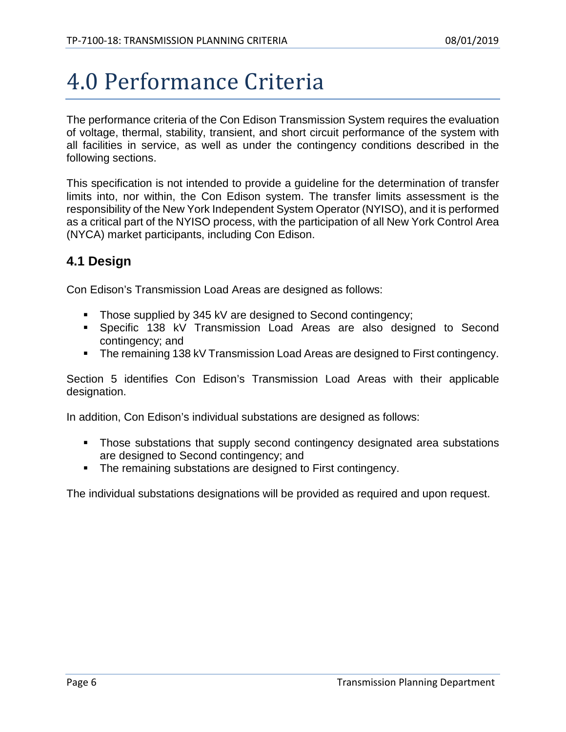## <span id="page-9-0"></span>4.0 Performance Criteria

The performance criteria of the Con Edison Transmission System requires the evaluation of voltage, thermal, stability, transient, and short circuit performance of the system with all facilities in service, as well as under the contingency conditions described in the following sections.

This specification is not intended to provide a guideline for the determination of transfer limits into, nor within, the Con Edison system. The transfer limits assessment is the responsibility of the New York Independent System Operator (NYISO), and it is performed as a critical part of the NYISO process, with the participation of all New York Control Area (NYCA) market participants, including Con Edison.

#### <span id="page-9-1"></span>**4.1 Design**

Con Edison's Transmission Load Areas are designed as follows:

- Those supplied by 345 kV are designed to Second contingency;
- Specific 138 kV Transmission Load Areas are also designed to Second contingency; and
- **The remaining 138 kV Transmission Load Areas are designed to First contingency.**

Section 5 identifies Con Edison's Transmission Load Areas with their applicable designation.

In addition, Con Edison's individual substations are designed as follows:

- Those substations that supply second contingency designated area substations are designed to Second contingency; and
- The remaining substations are designed to First contingency.

The individual substations designations will be provided as required and upon request.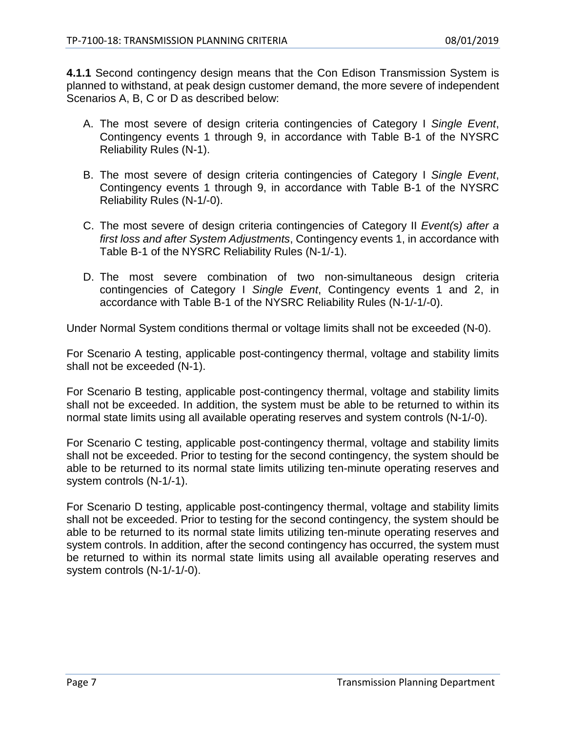**4.1.1** Second contingency design means that the Con Edison Transmission System is planned to withstand, at peak design customer demand, the more severe of independent Scenarios A, B, C or D as described below:

- A. The most severe of design criteria contingencies of Category I *Single Event*, Contingency events 1 through 9, in accordance with Table B-1 of the NYSRC Reliability Rules (N-1).
- B. The most severe of design criteria contingencies of Category I *Single Event*, Contingency events 1 through 9, in accordance with Table B-1 of the NYSRC Reliability Rules (N-1/-0).
- C. The most severe of design criteria contingencies of Category II *Event(s) after a first loss and after System Adjustments*, Contingency events 1, in accordance with Table B-1 of the NYSRC Reliability Rules (N-1/-1).
- D. The most severe combination of two non-simultaneous design criteria contingencies of Category I *Single Event*, Contingency events 1 and 2, in accordance with Table B-1 of the NYSRC Reliability Rules (N-1/-1/-0).

Under Normal System conditions thermal or voltage limits shall not be exceeded (N-0).

For Scenario A testing, applicable post-contingency thermal, voltage and stability limits shall not be exceeded (N-1).

For Scenario B testing, applicable post-contingency thermal, voltage and stability limits shall not be exceeded. In addition, the system must be able to be returned to within its normal state limits using all available operating reserves and system controls (N-1/-0).

For Scenario C testing, applicable post-contingency thermal, voltage and stability limits shall not be exceeded. Prior to testing for the second contingency, the system should be able to be returned to its normal state limits utilizing ten-minute operating reserves and system controls (N-1/-1).

For Scenario D testing, applicable post-contingency thermal, voltage and stability limits shall not be exceeded. Prior to testing for the second contingency, the system should be able to be returned to its normal state limits utilizing ten-minute operating reserves and system controls. In addition, after the second contingency has occurred, the system must be returned to within its normal state limits using all available operating reserves and system controls (N-1/-1/-0).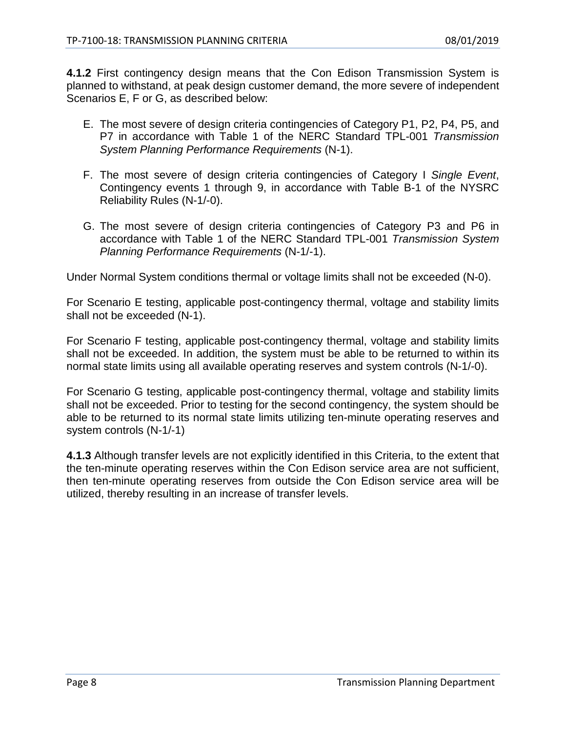**4.1.2** First contingency design means that the Con Edison Transmission System is planned to withstand, at peak design customer demand, the more severe of independent Scenarios E, F or G, as described below:

- E. The most severe of design criteria contingencies of Category P1, P2, P4, P5, and P7 in accordance with Table 1 of the NERC Standard TPL-001 *Transmission System Planning Performance Requirements* (N-1).
- F. The most severe of design criteria contingencies of Category I *Single Event*, Contingency events 1 through 9, in accordance with Table B-1 of the NYSRC Reliability Rules (N-1/-0).
- G. The most severe of design criteria contingencies of Category P3 and P6 in accordance with Table 1 of the NERC Standard TPL-001 *Transmission System Planning Performance Requirements* (N-1/-1).

Under Normal System conditions thermal or voltage limits shall not be exceeded (N-0).

For Scenario E testing, applicable post-contingency thermal, voltage and stability limits shall not be exceeded (N-1).

For Scenario F testing, applicable post-contingency thermal, voltage and stability limits shall not be exceeded. In addition, the system must be able to be returned to within its normal state limits using all available operating reserves and system controls (N-1/-0).

For Scenario G testing, applicable post-contingency thermal, voltage and stability limits shall not be exceeded. Prior to testing for the second contingency, the system should be able to be returned to its normal state limits utilizing ten-minute operating reserves and system controls (N-1/-1)

**4.1.3** Although transfer levels are not explicitly identified in this Criteria, to the extent that the ten-minute operating reserves within the Con Edison service area are not sufficient, then ten-minute operating reserves from outside the Con Edison service area will be utilized, thereby resulting in an increase of transfer levels.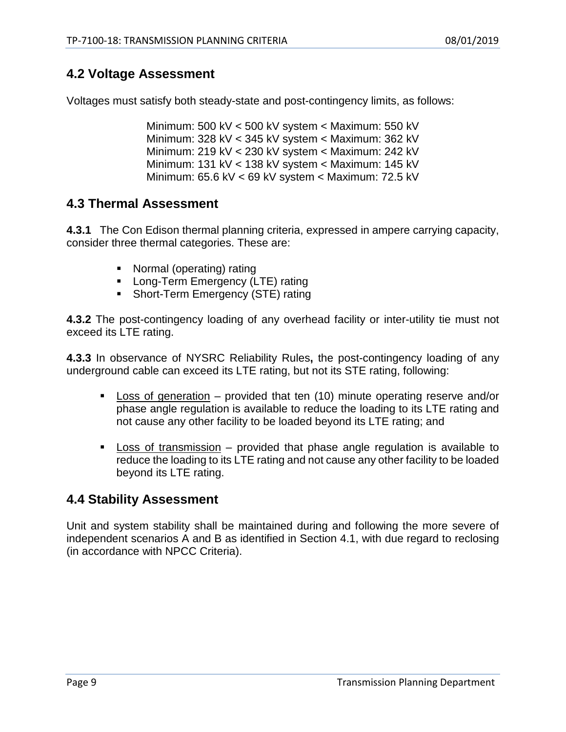#### <span id="page-12-0"></span>**4.2 Voltage Assessment**

Voltages must satisfy both steady-state and post-contingency limits, as follows:

Minimum: 500 kV < 500 kV system < Maximum: 550 kV Minimum: 328 kV < 345 kV system < Maximum: 362 kV Minimum: 219 kV < 230 kV system < Maximum: 242 kV Minimum: 131 kV < 138 kV system < Maximum: 145 kV Minimum: 65.6 kV < 69 kV system < Maximum: 72.5 kV

#### <span id="page-12-1"></span>**4.3 Thermal Assessment**

**4.3.1** The Con Edison thermal planning criteria, expressed in ampere carrying capacity, consider three thermal categories. These are:

- Normal (operating) rating
- **Long-Term Emergency (LTE) rating**
- Short-Term Emergency (STE) rating

**4.3.2** The post-contingency loading of any overhead facility or inter-utility tie must not exceed its LTE rating.

**4.3.3** In observance of NYSRC Reliability Rules**,** the post-contingency loading of any underground cable can exceed its LTE rating, but not its STE rating, following:

- Loss of generation provided that ten (10) minute operating reserve and/or phase angle regulation is available to reduce the loading to its LTE rating and not cause any other facility to be loaded beyond its LTE rating; and
- Loss of transmission provided that phase angle regulation is available to reduce the loading to its LTE rating and not cause any other facility to be loaded beyond its LTE rating.

#### <span id="page-12-2"></span>**4.4 Stability Assessment**

Unit and system stability shall be maintained during and following the more severe of independent scenarios A and B as identified in Section 4.1, with due regard to reclosing (in accordance with NPCC Criteria).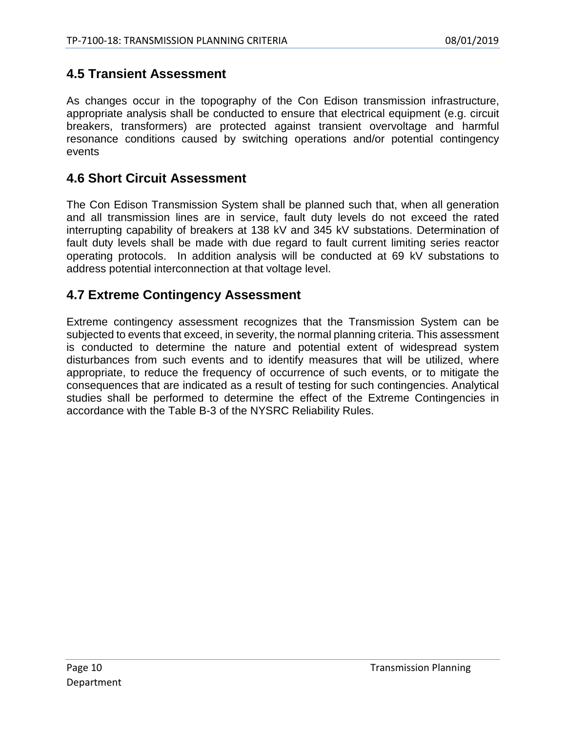#### <span id="page-13-0"></span>**4.5 Transient Assessment**

As changes occur in the topography of the Con Edison transmission infrastructure, appropriate analysis shall be conducted to ensure that electrical equipment (e.g. circuit breakers, transformers) are protected against transient overvoltage and harmful resonance conditions caused by switching operations and/or potential contingency events

#### <span id="page-13-1"></span>**4.6 Short Circuit Assessment**

The Con Edison Transmission System shall be planned such that, when all generation and all transmission lines are in service, fault duty levels do not exceed the rated interrupting capability of breakers at 138 kV and 345 kV substations. Determination of fault duty levels shall be made with due regard to fault current limiting series reactor operating protocols. In addition analysis will be conducted at 69 kV substations to address potential interconnection at that voltage level.

#### <span id="page-13-2"></span>**4.7 Extreme Contingency Assessment**

Extreme contingency assessment recognizes that the Transmission System can be subjected to events that exceed, in severity, the normal planning criteria. This assessment is conducted to determine the nature and potential extent of widespread system disturbances from such events and to identify measures that will be utilized, where appropriate, to reduce the frequency of occurrence of such events, or to mitigate the consequences that are indicated as a result of testing for such contingencies. Analytical studies shall be performed to determine the effect of the Extreme Contingencies in accordance with the Table B-3 of the NYSRC Reliability Rules.